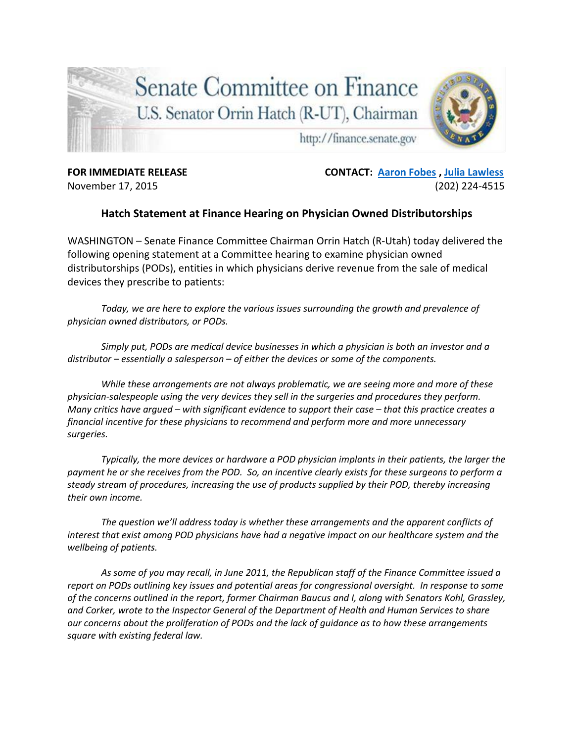

**FOR IMMEDIATE RELEASE CONTACT: [Aaron Fobes](mailto:aaron_fobes@finance.senate.gov) , [Julia Lawless](mailto:Julia_Lawless@finance-rep.senate.gov)** November 17, 2015 (202) 224-4515

## **Hatch Statement at Finance Hearing on Physician Owned Distributorships**

WASHINGTON – Senate Finance Committee Chairman Orrin Hatch (R-Utah) today delivered the following opening statement at a Committee hearing to examine physician owned distributorships (PODs), entities in which physicians derive revenue from the sale of medical devices they prescribe to patients:

*Today, we are here to explore the various issues surrounding the growth and prevalence of physician owned distributors, or PODs.* 

*Simply put, PODs are medical device businesses in which a physician is both an investor and a distributor – essentially a salesperson – of either the devices or some of the components.* 

*While these arrangements are not always problematic, we are seeing more and more of these physician-salespeople using the very devices they sell in the surgeries and procedures they perform. Many critics have argued – with significant evidence to support their case – that this practice creates a financial incentive for these physicians to recommend and perform more and more unnecessary surgeries.* 

*Typically, the more devices or hardware a POD physician implants in their patients, the larger the payment he or she receives from the POD. So, an incentive clearly exists for these surgeons to perform a steady stream of procedures, increasing the use of products supplied by their POD, thereby increasing their own income.* 

*The question we'll address today is whether these arrangements and the apparent conflicts of interest that exist among POD physicians have had a negative impact on our healthcare system and the wellbeing of patients.* 

*As some of you may recall, in June 2011, the Republican staff of the Finance Committee issued a report on PODs outlining key issues and potential areas for congressional oversight. In response to some of the concerns outlined in the report, former Chairman Baucus and I, along with Senators Kohl, Grassley, and Corker, wrote to the Inspector General of the Department of Health and Human Services to share our concerns about the proliferation of PODs and the lack of guidance as to how these arrangements square with existing federal law.*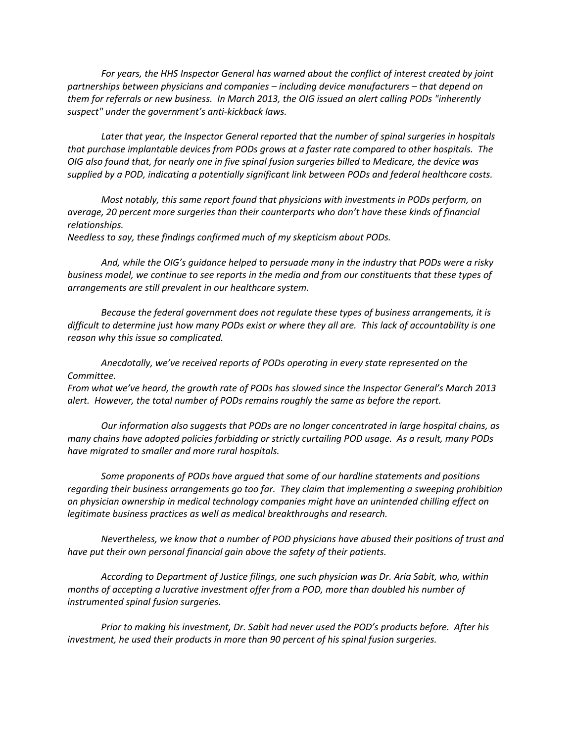*For years, the HHS Inspector General has warned about the conflict of interest created by joint partnerships between physicians and companies – including device manufacturers – that depend on them for referrals or new business. In March 2013, the OIG issued an alert calling PODs "inherently suspect" under the government's anti-kickback laws.* 

*Later that year, the Inspector General reported that the number of spinal surgeries in hospitals that purchase implantable devices from PODs grows at a faster rate compared to other hospitals. The OIG also found that, for nearly one in five spinal fusion surgeries billed to Medicare, the device was supplied by a POD, indicating a potentially significant link between PODs and federal healthcare costs.*

*Most notably, this same report found that physicians with investments in PODs perform, on average, 20 percent more surgeries than their counterparts who don't have these kinds of financial relationships.*

*Needless to say, these findings confirmed much of my skepticism about PODs.* 

*And, while the OIG's guidance helped to persuade many in the industry that PODs were a risky business model, we continue to see reports in the media and from our constituents that these types of arrangements are still prevalent in our healthcare system.* 

*Because the federal government does not regulate these types of business arrangements, it is difficult to determine just how many PODs exist or where they all are. This lack of accountability is one reason why this issue so complicated.* 

*Anecdotally, we've received reports of PODs operating in every state represented on the Committee.* 

*From what we've heard, the growth rate of PODs has slowed since the Inspector General's March 2013 alert. However, the total number of PODs remains roughly the same as before the report.* 

*Our information also suggests that PODs are no longer concentrated in large hospital chains, as many chains have adopted policies forbidding or strictly curtailing POD usage. As a result, many PODs have migrated to smaller and more rural hospitals.*

*Some proponents of PODs have argued that some of our hardline statements and positions regarding their business arrangements go too far. They claim that implementing a sweeping prohibition on physician ownership in medical technology companies might have an unintended chilling effect on legitimate business practices as well as medical breakthroughs and research.*

*Nevertheless, we know that a number of POD physicians have abused their positions of trust and have put their own personal financial gain above the safety of their patients.* 

*According to Department of Justice filings, one such physician was Dr. Aria Sabit, who, within months of accepting a lucrative investment offer from a POD, more than doubled his number of instrumented spinal fusion surgeries.* 

*Prior to making his investment, Dr. Sabit had never used the POD's products before. After his investment, he used their products in more than 90 percent of his spinal fusion surgeries.*